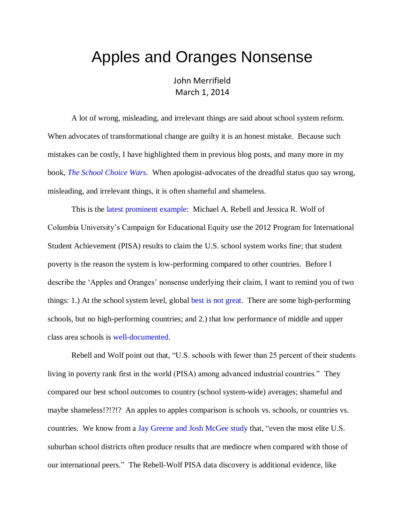## Apples and Oranges Nonsense

John Merrifield March 1, 2014

A lot of wrong, misleading, and irrelevant things are said about school system reform. When advocates of transformational change are guilty it is an honest mistake. Because such mistakes can be costly, I have highlighted them in previous blog posts, and many more in my book, *[The School Choice Wars](http://faculty.business.utsa.edu/jmerrifi/books/CHOICEWARS-Sample.html)*. When apologist-advocates of the dreadful status quo say wrong, misleading, and irrelevant things, it is often shameful and shameless.

This is the [latest prominent example:](http://www.edweek.org/ew/articles/2012/01/18/17rebell.h31.html) Michael A. Rebell and Jessica R. Wolf of Columbia University's Campaign for Educational Equity use the 2012 Program for International Student Achievement (PISA) results to claim the U.S. school system works fine; that student poverty is the reason the system is low-performing compared to other countries. Before I describe the 'Apples and Oranges' nonsense underlying their claim, I want to remind you of two things: 1.) At the school system level, global [best is not great.](http://nebula.wsimg.com/53f4210e26994266e312af5d023a30a9?AccessKeyId=DA21FC8554A675E9CF7B&disposition=0&alloworigin=1) There are some high-performing schools, but no high-performing countries; and 2.) that low performance of middle and upper class area schools is [well-documented.](http://www.schoolsystemreformstudies.net/wp-content/uploads/2016/11/NAGAYT-Izumi.pdf)

Rebell and Wolf point out that, "U.S. schools with fewer than 25 percent of their students living in poverty rank first in the world (PISA) among advanced industrial countries." They compared our best school outcomes to country (school system-wide) averages; shameful and maybe shameless!?!?!? An apples to apples comparison is schools vs. schools, or countries vs. countries. We know from a Jay Greene [and Josh McGee study](http://educationnext.org/when-the-best-is-mediocre/) that, "even the most elite U.S. suburban school districts often produce results that are mediocre when compared with those of our international peers." The Rebell-Wolf PISA data discovery is additional evidence, like